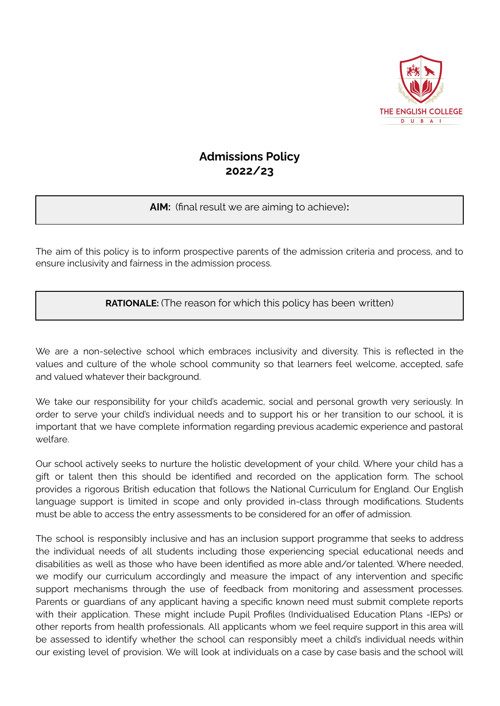

# **Admissions Policy 2022/23**

## **AIM:** (final result we are aiming to achieve)**:**

The aim of this policy is to inform prospective parents of the admission criteria and process, and to ensure inclusivity and fairness in the admission process.

**RATIONALE:** (The reason for which this policy has been written)

We are a non-selective school which embraces inclusivity and diversity. This is reflected in the values and culture of the whole school community so that learners feel welcome, accepted, safe and valued whatever their background.

We take our responsibility for your child's academic, social and personal growth very seriously. In order to serve your child's individual needs and to support his or her transition to our school, it is important that we have complete information regarding previous academic experience and pastoral welfare.

Our school actively seeks to nurture the holistic development of your child. Where your child has a gift or talent then this should be identified and recorded on the application form. The school provides a rigorous British education that follows the National Curriculum for England. Our English language support is limited in scope and only provided in-class through modifications. Students must be able to access the entry assessments to be considered for an offer of admission.

The school is responsibly inclusive and has an inclusion support programme that seeks to address the individual needs of all students including those experiencing special educational needs and disabilities as well as those who have been identified as more able and/or talented. Where needed, we modify our curriculum accordingly and measure the impact of any intervention and specific support mechanisms through the use of feedback from monitoring and assessment processes. Parents or guardians of any applicant having a specific known need must submit complete reports with their application. These might include Pupil Profiles (Individualised Education Plans -IEPs) or other reports from health professionals. All applicants whom we feel require support in this area will be assessed to identify whether the school can responsibly meet a child's individual needs within our existing level of provision. We will look at individuals on a case by case basis and the school will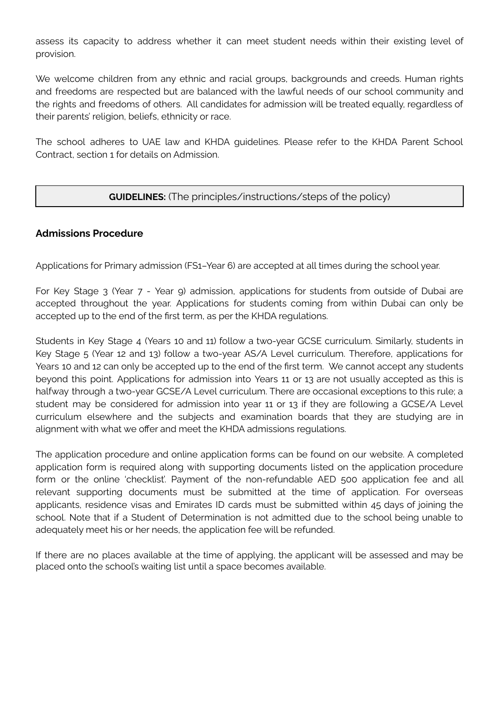assess its capacity to address whether it can meet student needs within their existing level of provision.

We welcome children from any ethnic and racial groups, backgrounds and creeds. Human rights and freedoms are respected but are balanced with the lawful needs of our school community and the rights and freedoms of others. All candidates for admission will be treated equally, regardless of their parents' religion, beliefs, ethnicity or race.

The school adheres to UAE law and KHDA guidelines. Please refer to the KHDA Parent School Contract, section 1 for details on Admission.

## **GUIDELINES:** (The principles/instructions/steps of the policy)

## **Admissions Procedure**

Applications for Primary admission (FS1–Year 6) are accepted at all times during the school year.

For Key Stage 3 (Year 7 - Year 9) admission, applications for students from outside of Dubai are accepted throughout the year. Applications for students coming from within Dubai can only be accepted up to the end of the first term, as per the KHDA regulations.

Students in Key Stage 4 (Years 10 and 11) follow a two-year GCSE curriculum. Similarly, students in Key Stage 5 (Year 12 and 13) follow a two-year AS/A Level curriculum. Therefore, applications for Years 10 and 12 can only be accepted up to the end of the first term. We cannot accept any students beyond this point. Applications for admission into Years 11 or 13 are not usually accepted as this is halfway through a two-year GCSE/A Level curriculum. There are occasional exceptions to this rule; a student may be considered for admission into year 11 or 13 if they are following a GCSE/A Level curriculum elsewhere and the subjects and examination boards that they are studying are in alignment with what we offer and meet the KHDA admissions regulations.

The application procedure and online application forms can be found on our website. A completed application form is required along with supporting documents listed on the application procedure form or the online 'checklist'. Payment of the non-refundable AED 500 application fee and all relevant supporting documents must be submitted at the time of application. For overseas applicants, residence visas and Emirates ID cards must be submitted within 45 days of joining the school. Note that if a Student of Determination is not admitted due to the school being unable to adequately meet his or her needs, the application fee will be refunded.

If there are no places available at the time of applying, the applicant will be assessed and may be placed onto the school's waiting list until a space becomes available.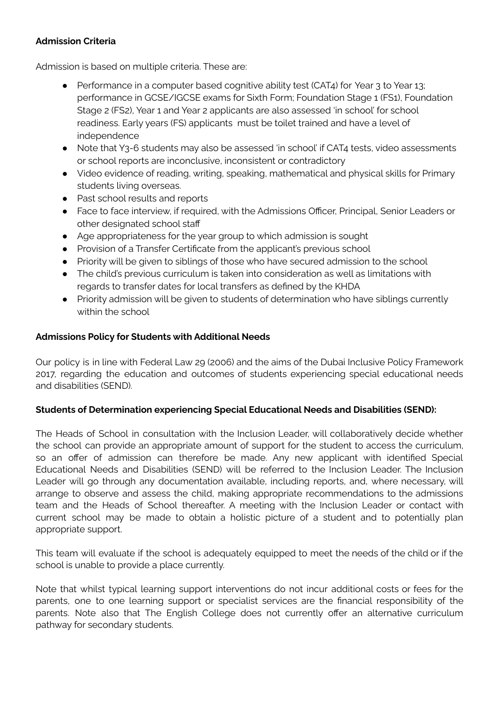## **Admission Criteria**

Admission is based on multiple criteria. These are:

- Performance in a computer based cognitive ability test (CAT4) for Year 3 to Year 13; performance in GCSE/IGCSE exams for Sixth Form; Foundation Stage 1 (FS1), Foundation Stage 2 (FS2), Year 1 and Year 2 applicants are also assessed 'in school' for school readiness. Early years (FS) applicants must be toilet trained and have a level of independence
- Note that Y3-6 students may also be assessed 'in school' if CAT4 tests, video assessments or school reports are inconclusive, inconsistent or contradictory
- Video evidence of reading, writing, speaking, mathematical and physical skills for Primary students living overseas.
- Past school results and reports
- Face to face interview, if required, with the Admissions Officer, Principal, Senior Leaders or other designated school staff
- Age appropriateness for the year group to which admission is sought
- **●** Provision of a Transfer Certificate from the applicant's previous school
- **●** Priority will be given to siblings of those who have secured admission to the school
- **●** The child's previous curriculum is taken into consideration as well as limitations with regards to transfer dates for local transfers as defined by the KHDA
- Priority admission will be given to students of determination who have siblings currently within the school

## **Admissions Policy for Students with Additional Needs**

Our policy is in line with Federal Law 29 (2006) and the aims of the Dubai Inclusive Policy Framework 2017, regarding the education and outcomes of students experiencing special educational needs and disabilities (SEND).

## **Students of Determination experiencing Special Educational Needs and Disabilities (SEND):**

The Heads of School in consultation with the Inclusion Leader, will collaboratively decide whether the school can provide an appropriate amount of support for the student to access the curriculum, so an offer of admission can therefore be made. Any new applicant with identified Special Educational Needs and Disabilities (SEND) will be referred to the Inclusion Leader. The Inclusion Leader will go through any documentation available, including reports, and, where necessary, will arrange to observe and assess the child, making appropriate recommendations to the admissions team and the Heads of School thereafter. A meeting with the Inclusion Leader or contact with current school may be made to obtain a holistic picture of a student and to potentially plan appropriate support.

This team will evaluate if the school is adequately equipped to meet the needs of the child or if the school is unable to provide a place currently.

Note that whilst typical learning support interventions do not incur additional costs or fees for the parents, one to one learning support or specialist services are the financial responsibility of the parents. Note also that The English College does not currently offer an alternative curriculum pathway for secondary students.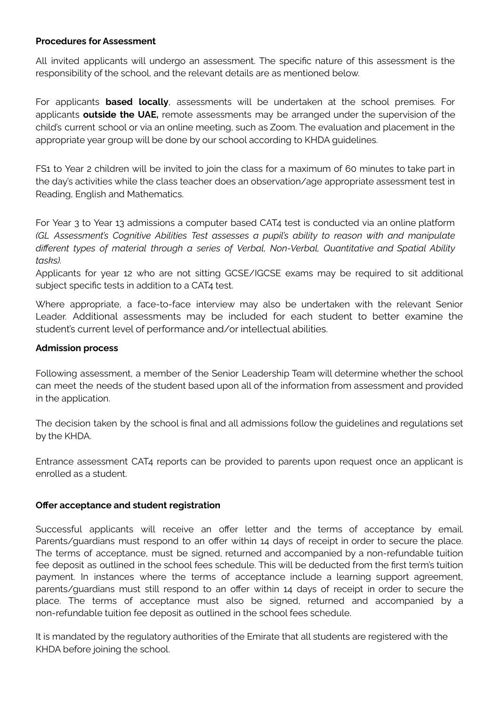#### **Procedures for Assessment**

All invited applicants will undergo an assessment. The specific nature of this assessment is the responsibility of the school, and the relevant details are as mentioned below.

For applicants **based locally**, assessments will be undertaken at the school premises. For applicants **outside the UAE,** remote assessments may be arranged under the supervision of the child's current school or via an online meeting, such as Zoom. The evaluation and placement in the appropriate year group will be done by our school according to KHDA guidelines.

FS1 to Year 2 children will be invited to join the class for a maximum of 60 minutes to take part in the day's activities while the class teacher does an observation/age appropriate assessment test in Reading, English and Mathematics.

For Year 3 to Year 13 admissions a computer based CAT4 test is conducted via an online platform *(GL Assessment's Cognitive Abilities Test assesses a pupil's ability to reason with and manipulate different types of material through a series of Verbal, Non-Verbal, Quantitative and Spatial Ability tasks).*

Applicants for year 12 who are not sitting GCSE/IGCSE exams may be required to sit additional subject specific tests in addition to a CAT4 test.

Where appropriate, a face-to-face interview may also be undertaken with the relevant Senior Leader. Additional assessments may be included for each student to better examine the student's current level of performance and/or intellectual abilities.

## **Admission process**

Following assessment, a member of the Senior Leadership Team will determine whether the school can meet the needs of the student based upon all of the information from assessment and provided in the application.

The decision taken by the school is final and all admissions follow the guidelines and regulations set by the KHDA.

Entrance assessment CAT4 reports can be provided to parents upon request once an applicant is enrolled as a student.

#### **Offer acceptance and student registration**

Successful applicants will receive an offer letter and the terms of acceptance by email. Parents/guardians must respond to an offer within 14 days of receipt in order to secure the place. The terms of acceptance, must be signed, returned and accompanied by a non-refundable tuition fee deposit as outlined in the school fees schedule. This will be deducted from the first term's tuition payment. In instances where the terms of acceptance include a learning support agreement, parents/guardians must still respond to an offer within 14 days of receipt in order to secure the place. The terms of acceptance must also be signed, returned and accompanied by a non-refundable tuition fee deposit as outlined in the school fees schedule.

It is mandated by the regulatory authorities of the Emirate that all students are registered with the KHDA before joining the school.